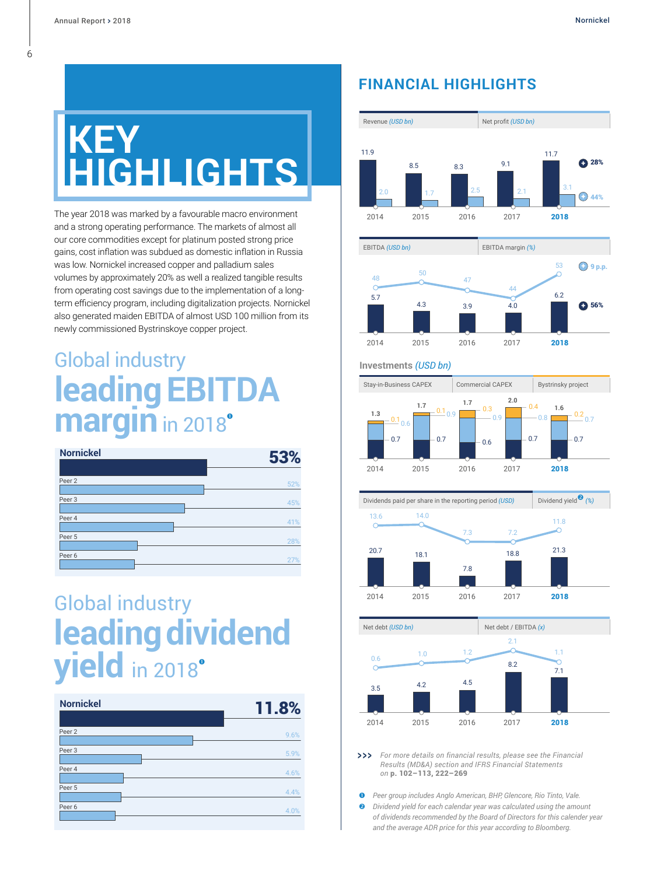## **KEY GHTS**

The year 2018 was marked by a favourable macro environment and a strong operating performance. The markets of almost all our core commodities except for platinum posted strong price gains, cost inflation was subdued as domestic inflation in Russia was low. Nornickel increased copper and palladium sales volumes by approximately 20% as well a realized tangible results from operating cost savings due to the implementation of a longterm efficiency program, including digitalization projects. Nornickel also generated maiden EBITDA of almost USD 100 million from its newly commissioned Bystrinskoye copper project.

### Global industry **leadingEBITDA margin** in 2018



## Global industry **leading dividend yield** in 2018

| <b>Nornickel</b>  | <b>11.8%</b> |
|-------------------|--------------|
|                   |              |
| Peer <sub>2</sub> | 9.6%         |
| Peer 3            | 5.9%         |
| Peer 4            | 4.6%         |
| Peer 5            | 4.4%         |
| Peer 6            | 4.0%         |

#### **FINANCIAL HIGHLIGHTS**





#### **Investments** *(USD bn)*







*For more details on financial results, please see the Financial Results (MD&A) section and IFRS Financial Statements on* p. [102–113](#page--1-0), [222–269](#page--1-0)  $>$ 

 *Peer group includes Anglo American, BHP, Glencore, Rio Tinto, Vale. Dividend yield for each calendar year was calculated using the amount of dividends recommended by the Board of Directors for this calender year and the average ADR price for this year according to Bloomberg.*